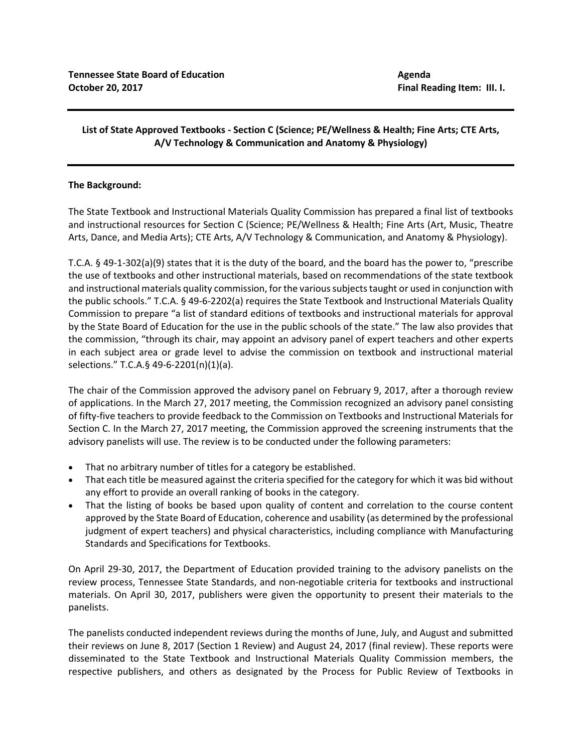## **List of State Approved Textbooks - Section C (Science; PE/Wellness & Health; Fine Arts; CTE Arts, A/V Technology & Communication and Anatomy & Physiology)**

## **The Background:**

The State Textbook and Instructional Materials Quality Commission has prepared a final list of textbooks and instructional resources for Section C (Science; PE/Wellness & Health; Fine Arts (Art, Music, Theatre Arts, Dance, and Media Arts); CTE Arts, A/V Technology & Communication, and Anatomy & Physiology).

T.C.A. § 49-1-302(a)(9) states that it is the duty of the board, and the board has the power to, "prescribe the use of textbooks and other instructional materials, based on recommendations of the state textbook and instructional materials quality commission, for the various subjects taught or used in conjunction with the public schools." T.C.A. § 49-6-2202(a) requires the State Textbook and Instructional Materials Quality Commission to prepare "a list of standard editions of textbooks and instructional materials for approval by the State Board of Education for the use in the public schools of the state." The law also provides that the commission, "through its chair, may appoint an advisory panel of expert teachers and other experts in each subject area or grade level to advise the commission on textbook and instructional material selections." T.C.A.§ 49-6-2201(n)(1)(a).

The chair of the Commission approved the advisory panel on February 9, 2017, after a thorough review of applications. In the March 27, 2017 meeting, the Commission recognized an advisory panel consisting of fifty-five teachers to provide feedback to the Commission on Textbooks and Instructional Materials for Section C. In the March 27, 2017 meeting, the Commission approved the screening instruments that the advisory panelists will use. The review is to be conducted under the following parameters:

- That no arbitrary number of titles for a category be established.
- That each title be measured against the criteria specified for the category for which it was bid without any effort to provide an overall ranking of books in the category.
- That the listing of books be based upon quality of content and correlation to the course content approved by the State Board of Education, coherence and usability (as determined by the professional judgment of expert teachers) and physical characteristics, including compliance with Manufacturing Standards and Specifications for Textbooks.

On April 29-30, 2017, the Department of Education provided training to the advisory panelists on the review process, Tennessee State Standards, and non-negotiable criteria for textbooks and instructional materials. On April 30, 2017, publishers were given the opportunity to present their materials to the panelists.

The panelists conducted independent reviews during the months of June, July, and August and submitted their reviews on June 8, 2017 (Section 1 Review) and August 24, 2017 (final review). These reports were disseminated to the State Textbook and Instructional Materials Quality Commission members, the respective publishers, and others as designated by the Process for Public Review of Textbooks in